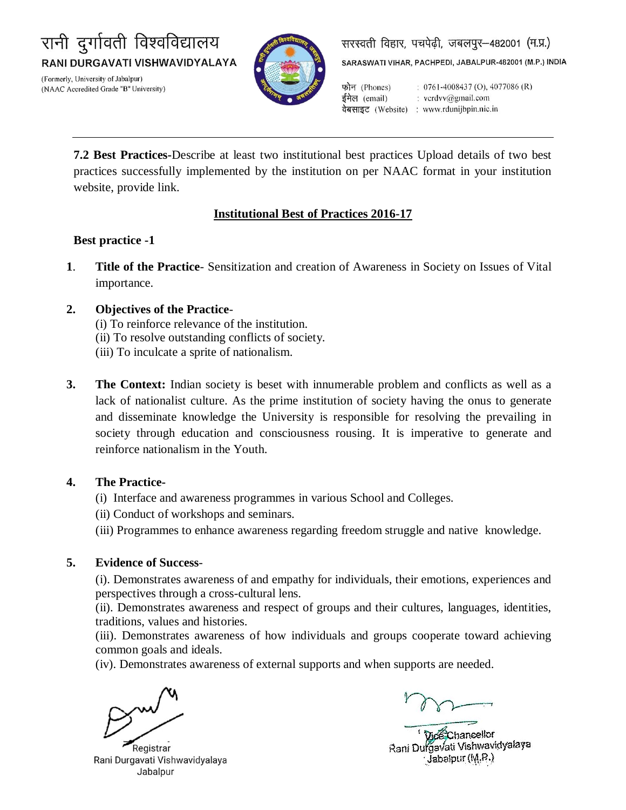रानी दुर्गावती विश्वविद्यालय RANI DURGAVATI VISHWAVIDYALAYA

(Formerly, University of Jabalpur) (NAAC Accredited Grade "B" University)



सरस्वती विहार, पचपेढी, जबलपुर-482001 (म.प्र.)

SARASWATI VIHAR, PACHPEDI, JABALPUR-482001 (M.P.) INDIA

फोन (Phones) ईमेल (email)

:  $0761 - 4008437$  (O),  $4077086$  (R) : verdvv@gmail.com वेबसाइट (Website) : www.rdunijbpin.nic.in

**7.2 Best Practices-**Describe at least two institutional best practices Upload details of two best practices successfully implemented by the institution on per NAAC format in your institution website, provide link.

# **Institutional Best of Practices 2016-17**

#### **Best practice -1**

- **1**. **Title of the Practice** Sensitization and creation of Awareness in Society on Issues of Vital importance.
- **2. Objectives of the Practice**
	- (i) To reinforce relevance of the institution.
	- (ii) To resolve outstanding conflicts of society.
	- (iii) To inculcate a sprite of nationalism.
- **3. The Context:** Indian society is beset with innumerable problem and conflicts as well as a lack of nationalist culture. As the prime institution of society having the onus to generate and disseminate knowledge the University is responsible for resolving the prevailing in society through education and consciousness rousing. It is imperative to generate and reinforce nationalism in the Youth.

# **4. The Practice-**

- (i) Interface and awareness programmes in various School and Colleges.
- (ii) Conduct of workshops and seminars.
- (iii) Programmes to enhance awareness regarding freedom struggle and native knowledge.

# **5. Evidence of Success**-

(i). Demonstrates awareness of and empathy for individuals, their emotions, experiences and perspectives through a cross-cultural lens.

(ii). Demonstrates awareness and respect of groups and their cultures, languages, identities, traditions, values and histories.

(iii). Demonstrates awareness of how individuals and groups cooperate toward achieving common goals and ideals.

(iv). Demonstrates awareness of external supports and when supports are needed.

Registrar Rani Durgavati Vishwavidyalaya Jabalpur

Chancellor Rani Durgavati Vishwavidyalaya Jabalpur (M.R.)